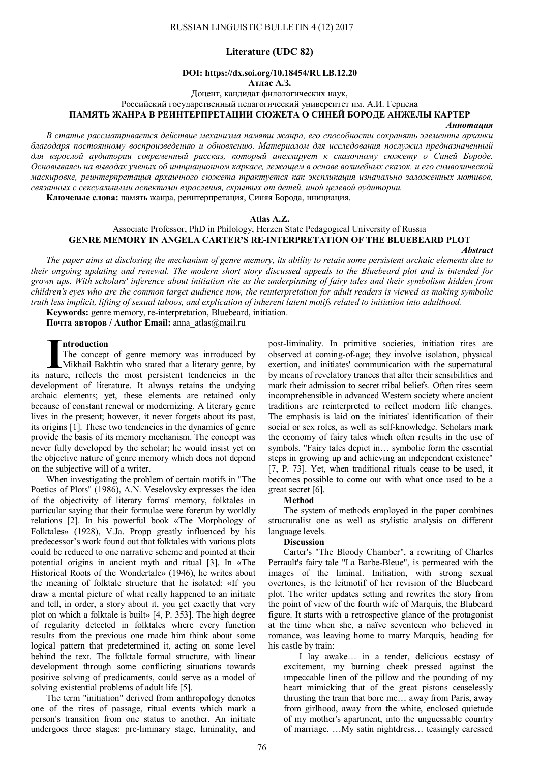## **Literature (UDC 82)**

# **DOI: https://dx.soi.org/10.18454/RULB.12.20**

**Атлас А.З.**

Доцент, кандидат филологических наук,

Российский государственный педагогический университет им. А.И. Герцена **ПАМЯТЬ ЖАНРА В РЕИНТЕРПРЕТАЦИИ СЮЖЕТА О СИНЕЙ БОРОДЕ АНЖЕЛЫ КАРТЕР**

#### *Аннотация*

*В статье рассматривается действие механизма памяти жанра, его способности сохранять элементы архаики благодаря постоянному воспроизведению и обновлению. Материалом для исследования послужил предназначенный для взрослой аудитории современный рассказ, который апеллирует к сказочному сюжету о Синей Бороде. Основываясь на выводах ученых об инициационном каркасе, лежащем в основе волшебных сказок, и его символической маскировке, реинтерпретация архаичного сюжета трактуется как экспликация изначально заложенных мотивов, связанных с сексуальными аспектами взросления, скрытых от детей, иной целевой аудитории.*

**Ключевые слова:** память жанра, реинтерпретация, Синяя Борода, инициация.

#### **Atlas A.Z.**

### Associate Professor, PhD in Philology, Herzen State Pedagogical University of Russia **GENRE MEMORY IN ANGELA CARTER'S RE-INTERPRETATION OF THE BLUEBEARD PLOT**

#### *Abstract*

*The paper aims at disclosing the mechanism of genre memory, its ability to retain some persistent archaic elements due to their ongoing updating and renewal. The modern short story discussed appeals to the Bluebeard plot and is intended for grown ups. With scholars' inference about initiation rite as the underpinning of fairy tales and their symbolism hidden from children's eyes who are the common target audience now, the reinterpretation for adult readers is viewed as making symbolic truth less implicit, lifting of sexual taboos, and explication of inherent latent motifs related to initiation into adulthood.*

**Keywords:** genre memory, re-interpretation, Bluebeard, initiation.

**Почта авторов / Author Email:** anna\_atlas@mail.ru

#### **ntroduction**

The concept of genre memory was introduced by Mikhail Bakhtin who stated that a literary genre, by Introduction<br>The concept of genre memory was introduced by<br>Mikhail Bakhtin who stated that a literary genre, by<br>its nature, reflects the most persistent tendencies in the development of literature. It always retains the undying archaic elements; yet, these elements are retained only because of constant renewal or modernizing. A literary genre lives in the present; however, it never forgets about its past, its origins [1]. These two tendencies in the dynamics of genre provide the basis of its memory mechanism. The concept was never fully developed by the scholar; he would insist yet on the objective nature of genre memory which does not depend on the subjective will of a writer.

When investigating the problem of certain motifs in "The Poetics of Plots" (1986), A.N. Veselovsky expresses the idea of the objectivity of literary forms' memory, folktales in particular saying that their formulae were forerun by worldly relations [2]. In his powerful book «The Morphology of Folktales» (1928), V.Ja. Propp greatly influenced by his predecessor's work found out that folktales with various plots could be reduced to one narrative scheme and pointed at their potential origins in ancient myth and ritual [3]. In «The Historical Roots of the Wondertale» (1946), he writes about the meaning of folktale structure that he isolated: «If you draw a mental picture of what really happened to an initiate and tell, in order, a story about it, you get exactly that very plot on which a folktale is built» [4, P. 353]. The high degree of regularity detected in folktales where every function results from the previous one made him think about some logical pattern that predetermined it, acting on some level behind the text. The folktale formal structure, with linear development through some conflicting situations towards positive solving of predicaments, could serve as a model of solving existential problems of adult life [5].

The term "initiation" derived from anthropology denotes one of the rites of passage, ritual events which mark a person's transition from one status to another. An initiate undergoes three stages: pre-liminary stage, liminality, and

post-liminality. In primitive societies, initiation rites are observed at coming-of-age; they involve isolation, physical exertion, and initiates' communication with the supernatural by means of revelatory trances that alter their sensibilities and mark their admission to secret tribal beliefs. Often rites seem incomprehensible in advanced Western society where ancient traditions are reinterpreted to reflect modern life changes. The emphasis is laid on the initiates' identification of their social or sex roles, as well as self-knowledge. Scholars mark the economy of fairy tales which often results in the use of symbols. "Fairy tales depict in… symbolic form the essential steps in growing up and achieving an independent existence" [7, P. 73]. Yet, when traditional rituals cease to be used, it becomes possible to come out with what once used to be a great secret [6].

### **Method**

The system of methods employed in the paper combines structuralist one as well as stylistic analysis on different language levels.

#### **Discussion**

Carter's "The Bloody Chamber", a rewriting of Charles Perrault's fairy tale "La Barbe-Bleue", is permeated with the images of the liminal. Initiation, with strong sexual overtones, is the leitmotif of her revision of the Bluebeard plot. The writer updates setting and rewrites the story from the point of view of the fourth wife of Marquis, the Blubeard figure. It starts with a retrospective glance of the protagonist at the time when she, a naїve seventeen who believed in romance, was leaving home to marry Marquis, heading for his castle by train:

I lay awake… in a tender, delicious ecstasy of excitement, my burning cheek pressed against the impeccable linen of the pillow and the pounding of my heart mimicking that of the great pistons ceaselessly thrusting the train that bore me… away from Paris, away from girlhood, away from the white, enclosed quietude of my mother's apartment, into the unguessable country of marriage. …My satin nightdress… teasingly caressed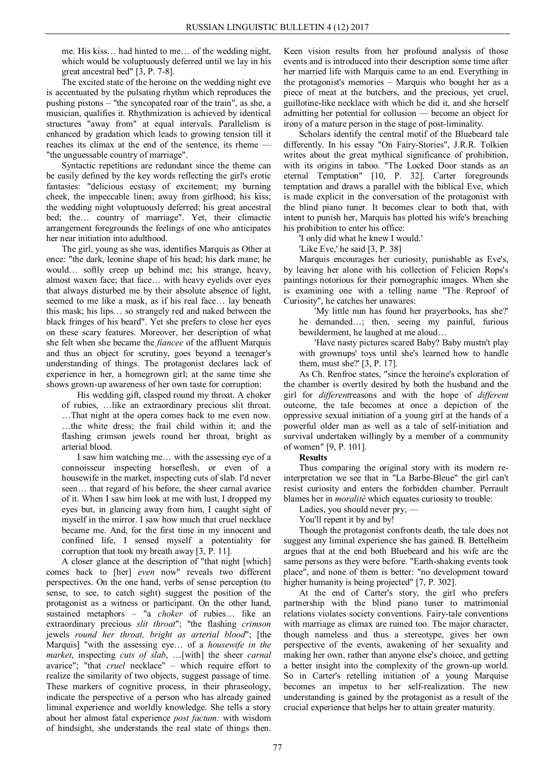me. His kiss… had hinted to me… of the wedding night, which would be voluptuously deferred until we lay in his great ancestral bed" [3, P. 7-8].

The excited state of the heroine on the wedding night eve is accentuated by the pulsating rhythm which reproduces the pushing pistons – "the syncopated roar of the train", as she, a musician, qualifies it. Rhythmization is achieved by identical structures "away from" at equal intervals. Parallelism is enhanced by gradation which leads to growing tension till it reaches its climax at the end of the sentence, its rheme — "the unguessable country of marriage".

Syntactic repetitions are redundant since the theme can be easily defined by the key words reflecting the girl's erotic fantasies: "delicious ecstasy of excitement; my burning cheek, the impeccable linen; away from girlhood; his kiss; the wedding night voluptuously deferred; his great ancestral bed; the… country of marriage". Yet, their climactic arrangement foregrounds the feelings of one who anticipates her near initiation into adulthood.

The girl, young as she was, identifies Marquis as Other at once: "the dark, leonine shape of his head; his dark mane; he would… softly creep up behind me; his strange, heavy, almost waxen face; that face… with heavy eyelids over eyes that always disturbed me by their absolute absence of light, seemed to me like a mask, as if his real face… lay beneath this mask; his lips… so strangely red and naked between the black fringes of his beard". Yet she prefers to close her eyes on these scary features. Moreover, her description of what she felt when she became the *fiancee* of the affluent Marquis and thus an object for scrutiny, goes beyond a teenager's understanding of things. The protagonist declares lack of experience in her, a homegrown girl; at the same time she shows grown-up awareness of her own taste for corruption:

His wedding gift, clasped round my throat. A choker of rubies, …like an extraordinary precious slit throat. …That night at the opera comes back to me even now. …the white dress; the frail child within it; and the flashing crimson jewels round her throat, bright as arterial blood.

I saw him watching me… with the assessing eye of a connoisseur inspecting horseflesh, or even of a housewife in the market, inspecting cuts of slab. I'd never seen… that regard of his before, the sheer carnal avarice of it. When I saw him look at me with lust, I dropped my eyes but, in glancing away from him, I caught sight of myself in the mirror. I saw how much that cruel necklace became me. And, for the first time in my innocent and confined life, I sensed myself a potentiality for corruption that took my breath away [3, P. 11].

A closer glance at the description of "that night [which] comes back to [her] *even* now" reveals two different perspectives. On the one hand, verbs of sense perception (to sense, to see, to catch sight) suggest the position of the protagonist as a witness or participant. On the other hand, sustained metaphors – "a *choker* of rubies… like an extraordinary precious *slit throat*"; "the flashing *crimson* jewels *round her throat, bright as arterial blood*"; [the Marquis] "with the assessing eye… of a *housewife in the market*, inspecting *cuts of slab*, …[with] the sheer *carnal* avarice"; "that *cruel* necklace" – which require effort to realize the similarity of two objects, suggest passage of time. These markers of cognitive process, in their phraseology, indicate the perspective of a person who has already gained liminal experience and worldly knowledge. She tells a story about her almost fatal experience *post factum:* with wisdom of hindsight, she understands the real state of things then.

Keen vision results from her profound analysis of those events and is introduced into their description some time after her married life with Marquis came to an end. Everything in the protagonist's memories – Marquis who bought her as a piece of meat at the butchers, and the precious, yet cruel, guillotine-like necklace with which he did it, and she herself admitting her potential for collusion — become an object for irony of a mature person in the stage of post-liminality.

Scholars identify the central motif of the Bluebeard tale differently. In his essay "On Fairy-Stories", J.R.R. Tolkien writes about the great mythical significance of prohibition, with its origins in taboo. "The Locked Door stands as an eternal Temptation" [10, P. 32]. Carter foregrounds temptation and draws a parallel with the biblical Eve, which is made explicit in the conversation of the protagonist with the blind piano tuner. It becomes clear to both that, with intent to punish her, Marquis has plotted his wife's breaching his prohibition to enter his office:

'I only did what he knew I would.'

'Like Eve,' he said [3, P. 38]

Marquis encourages her curiosity, punishable as Eve's, by leaving her alone with his collection of Felicien Rops's paintings notorious for their pornographic images. When she is examining one with a telling name "The Reproof of Curiosity", he catches her unawares:

'My little nun has found her prayerbooks, has she?' he demanded…; then, seeing my painful, furious bewilderment, he laughed at me aloud…

'Have nasty pictures scared Baby? Baby mustn't play with grownups' toys until she's learned how to handle them, must she?' [3, P. 17].

As Ch. Renfroe states, "since the heroine's exploration of the chamber is overtly desired by both the husband and the girl for *different*reasons and with the hope of *different* outcome, the tale becomes at once a depiction of the oppressive sexual initiation of a young girl at the hands of a powerful older man as well as a tale of self-initiation and survival undertaken willingly by a member of a community of women" [9, P. 101].

### **Results**

Thus comparing the original story with its modern reinterpretation we see that in "La Barbe-Bleue" the girl can't resist curiosity and enters the forbidden chamber. Perrault blames her in *moralitè* which equates curiosity to trouble:

Ladies, you should never pry, —

You'll repent it by and by!

Though the protagonist confronts death, the tale does not suggest any liminal experience she has gained. B. Bettelheim argues that at the end both Bluebeard and his wife are the same persons as they were before. "Earth-shaking events took place", and none of them is better: "no development toward higher humanity is being projected" [7, P. 302].

At the end of Carter's story, the girl who prefers partnership with the blind piano tuner to matrimonial relations violates society conventions. Fairy-tale conventions with marriage as climax are ruined too. The major character, though nameless and thus a stereotype, gives her own perspective of the events, awakening of her sexuality and making her own, rather than anyone else's choice, and getting a better insight into the complexity of the grown-up world. So in Carter's retelling initiation of a young Marquise becomes an impetus to her self-realization. The new understanding is gained by the protagonist as a result of the crucial experience that helps her to attain greater maturity.